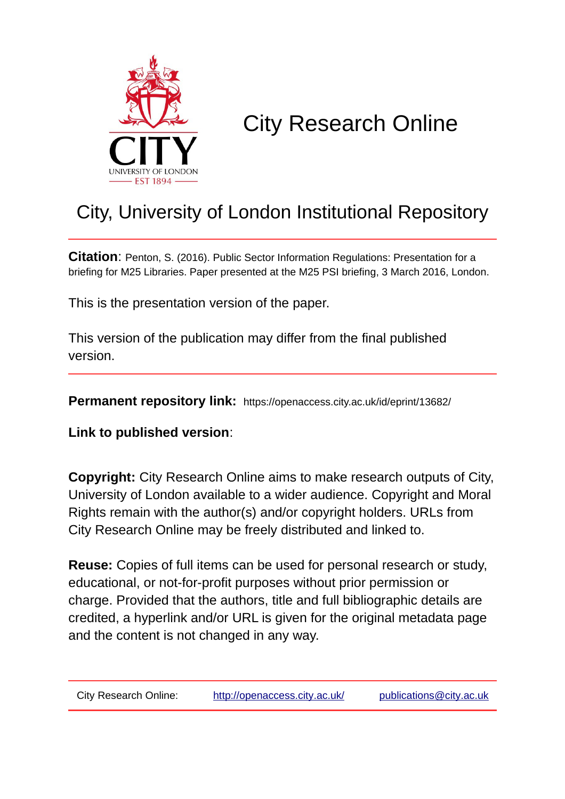

## City Research Online

## City, University of London Institutional Repository

**Citation**: Penton, S. (2016). Public Sector Information Regulations: Presentation for a briefing for M25 Libraries. Paper presented at the M25 PSI briefing, 3 March 2016, London.

This is the presentation version of the paper.

This version of the publication may differ from the final published version.

**Permanent repository link:** https://openaccess.city.ac.uk/id/eprint/13682/

**Link to published version**:

**Copyright:** City Research Online aims to make research outputs of City, University of London available to a wider audience. Copyright and Moral Rights remain with the author(s) and/or copyright holders. URLs from City Research Online may be freely distributed and linked to.

**Reuse:** Copies of full items can be used for personal research or study, educational, or not-for-profit purposes without prior permission or charge. Provided that the authors, title and full bibliographic details are credited, a hyperlink and/or URL is given for the original metadata page and the content is not changed in any way.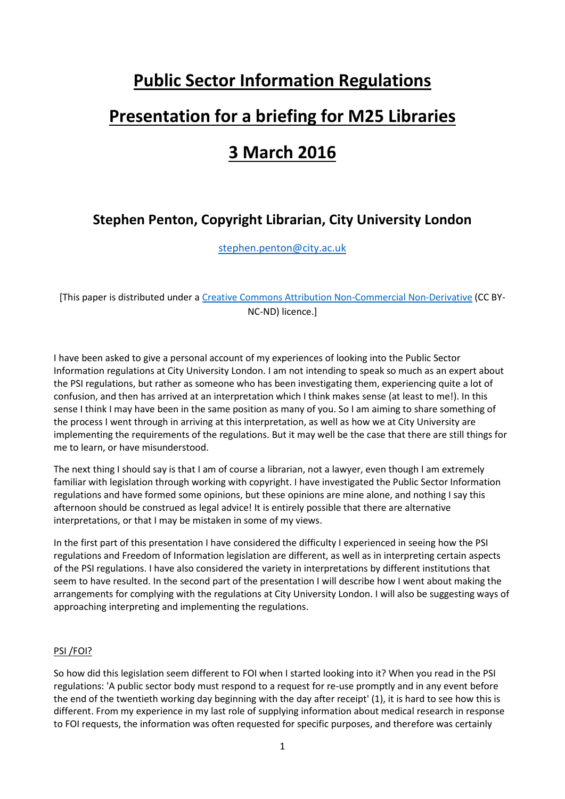# **Public Sector Information Regulations Presentation for a briefing for M25 Libraries 3 March 2016**

### **Stephen Penton, Copyright Librarian, City University London**

[stephen.penton@city.ac.uk](mailto:stephen.penton@city.ac.uk)

[This paper is distributed under a [Creative Commons Attribution Non-Commercial Non-Derivative](https://creativecommons.org/licenses/by-nc-nd/4.0/) (CC BY-NC-ND) licence.]

I have been asked to give a personal account of my experiences of looking into the Public Sector Information regulations at City University London. I am not intending to speak so much as an expert about the PSI regulations, but rather as someone who has been investigating them, experiencing quite a lot of confusion, and then has arrived at an interpretation which I think makes sense (at least to me!). In this sense I think I may have been in the same position as many of you. So I am aiming to share something of the process I went through in arriving at this interpretation, as well as how we at City University are implementing the requirements of the regulations. But it may well be the case that there are still things for me to learn, or have misunderstood.

The next thing I should say is that I am of course a librarian, not a lawyer, even though I am extremely familiar with legislation through working with copyright. I have investigated the Public Sector Information regulations and have formed some opinions, but these opinions are mine alone, and nothing I say this afternoon should be construed as legal advice! It is entirely possible that there are alternative interpretations, or that I may be mistaken in some of my views.

In the first part of this presentation I have considered the difficulty I experienced in seeing how the PSI regulations and Freedom of Information legislation are different, as well as in interpreting certain aspects of the PSI regulations. I have also considered the variety in interpretations by different institutions that seem to have resulted. In the second part of the presentation I will describe how I went about making the arrangements for complying with the regulations at City University London. I will also be suggesting ways of approaching interpreting and implementing the regulations.

#### PSI /FOI?

So how did this legislation seem different to FOI when I started looking into it? When you read in the PSI regulations: 'A public sector body must respond to a request for re-use promptly and in any event before the end of the twentieth working day beginning with the day after receipt' (1), it is hard to see how this is different. From my experience in my last role of supplying information about medical research in response to FOI requests, the information was often requested for specific purposes, and therefore was certainly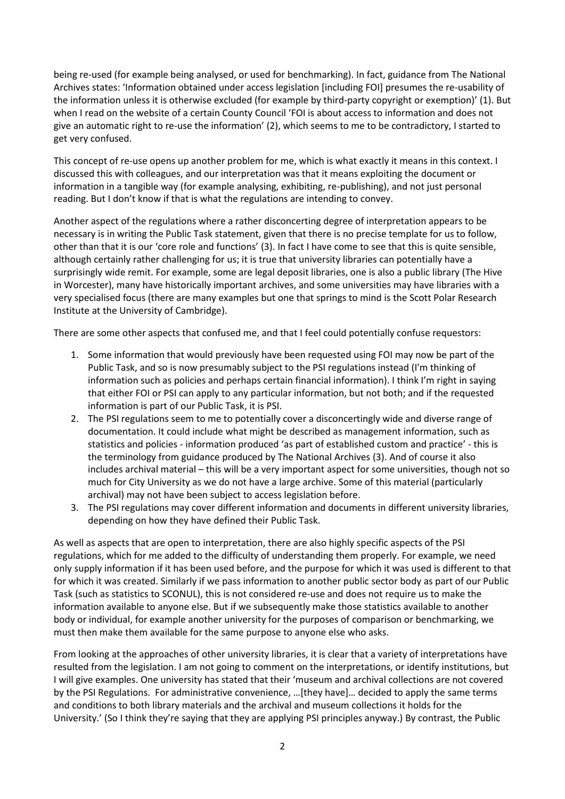being re-used (for example being analysed, or used for benchmarking). In fact, guidance from The National Archives states: 'Information obtained under access legislation [including FOI] presumes the re-usability of the information unless it is otherwise excluded (for example by third-party copyright or exemption)' (1). But when I read on the website of a certain County Council 'FOI is about access to information and does not give an automatic right to re-use the information' (2), which seems to me to be contradictory, I started to get very confused.

This concept of re-use opens up another problem for me, which is what exactly it means in this context. I discussed this with colleagues, and our interpretation was that it means exploiting the document or information in a tangible way (for example analysing, exhibiting, re-publishing), and not just personal reading. But I don't know if that is what the regulations are intending to convey.

Another aspect of the regulations where a rather disconcerting degree of interpretation appears to be necessary is in writing the Public Task statement, given that there is no precise template for us to follow, other than that it is our 'core role and functions' (3). In fact I have come to see that this is quite sensible, although certainly rather challenging for us; it is true that university libraries can potentially have a surprisingly wide remit. For example, some are legal deposit libraries, one is also a public library (The Hive in Worcester), many have historically important archives, and some universities may have libraries with a very specialised focus (there are many examples but one that springs to mind is the Scott Polar Research Institute at the University of Cambridge).

There are some other aspects that confused me, and that I feel could potentially confuse requestors:

- 1. Some information that would previously have been requested using FOI may now be part of the Public Task, and so is now presumably subject to the PSI regulations instead (I'm thinking of information such as policies and perhaps certain financial information). I think I'm right in saying that either FOI or PSI can apply to any particular information, but not both; and if the requested information is part of our Public Task, it is PSI.
- 2. The PSI regulations seem to me to potentially cover a disconcertingly wide and diverse range of documentation. It could include what might be described as management information, such as statistics and policies - information produced 'as part of established custom and practice' - this is the terminology from guidance produced by The National Archives (3). And of course it also includes archival material – this will be a very important aspect for some universities, though not so much for City University as we do not have a large archive. Some of this material (particularly archival) may not have been subject to access legislation before.
- 3. The PSI regulations may cover different information and documents in different university libraries, depending on how they have defined their Public Task.

As well as aspects that are open to interpretation, there are also highly specific aspects of the PSI regulations, which for me added to the difficulty of understanding them properly. For example, we need only supply information if it has been used before, and the purpose for which it was used is different to that for which it was created. Similarly if we pass information to another public sector body as part of our Public Task (such as statistics to SCONUL), this is not considered re-use and does not require us to make the information available to anyone else. But if we subsequently make those statistics available to another body or individual, for example another university for the purposes of comparison or benchmarking, we must then make them available for the same purpose to anyone else who asks.

From looking at the approaches of other university libraries, it is clear that a variety of interpretations have resulted from the legislation. I am not going to comment on the interpretations, or identify institutions, but I will give examples. One university has stated that their 'museum and archival collections are not covered by the PSI Regulations. For administrative convenience, …[they have]… decided to apply the same terms and conditions to both library materials and the archival and museum collections it holds for the University.' (So I think they're saying that they are applying PSI principles anyway.) By contrast, the Public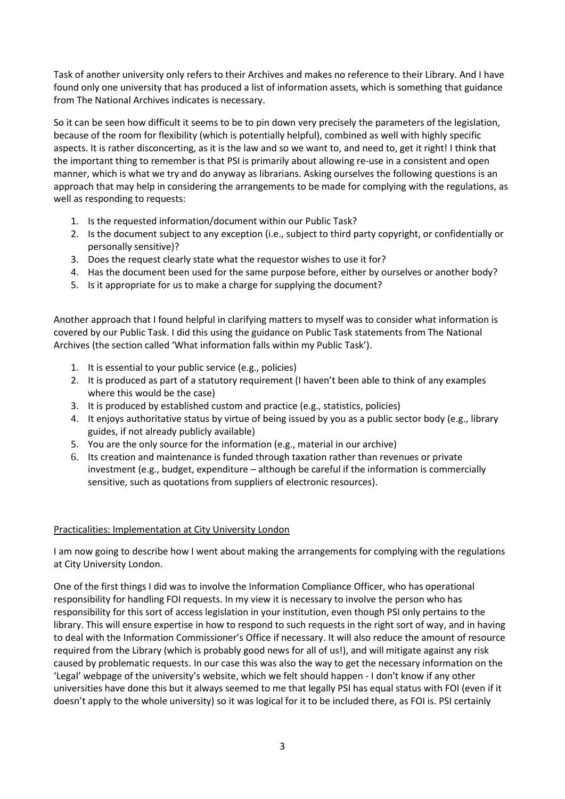Task of another university only refers to their Archives and makes no reference to their Library. And I have found only one university that has produced a list of information assets, which is something that guidance from The National Archives indicates is necessary.

So it can be seen how difficult it seems to be to pin down very precisely the parameters of the legislation, because of the room for flexibility (which is potentially helpful), combined as well with highly specific aspects. It is rather disconcerting, as it is the law and so we want to, and need to, get it right! I think that the important thing to remember is that PSI is primarily about allowing re-use in a consistent and open manner, which is what we try and do anyway as librarians. Asking ourselves the following questions is an approach that may help in considering the arrangements to be made for complying with the regulations, as well as responding to requests:

- 1. Is the requested information/document within our Public Task?
- 2. Is the document subject to any exception (i.e., subject to third party copyright, or confidentially or personally sensitive)?
- 3. Does the request clearly state what the requestor wishes to use it for?
- 4. Has the document been used for the same purpose before, either by ourselves or another body?
- 5. Is it appropriate for us to make a charge for supplying the document?

Another approach that I found helpful in clarifying matters to myself was to consider what information is covered by our Public Task. I did this using the guidance on Public Task statements from The National Archives (the section called 'What information falls within my Public Task').

- 1. It is essential to your public service (e.g., policies)
- 2. It is produced as part of a statutory requirement (I haven't been able to think of any examples where this would be the case)
- 3. It is produced by established custom and practice (e.g., statistics, policies)
- 4. It enjoys authoritative status by virtue of being issued by you as a public sector body (e.g., library guides, if not already publicly available)
- 5. You are the only source for the information (e.g., material in our archive)
- 6. Its creation and maintenance is funded through taxation rather than revenues or private investment (e.g., budget, expenditure – although be careful if the information is commercially sensitive, such as quotations from suppliers of electronic resources).

#### Practicalities: Implementation at City University London

I am now going to describe how I went about making the arrangements for complying with the regulations at City University London.

One of the first things I did was to involve the Information Compliance Officer, who has operational responsibility for handling FOI requests. In my view it is necessary to involve the person who has responsibility for this sort of access legislation in your institution, even though PSI only pertains to the library. This will ensure expertise in how to respond to such requests in the right sort of way, and in having to deal with the Information Commissioner's Office if necessary. It will also reduce the amount of resource required from the Library (which is probably good news for all of us!), and will mitigate against any risk caused by problematic requests. In our case this was also the way to get the necessary information on the 'Legal' webpage of the university's website, which we felt should happen - I don't know if any other universities have done this but it always seemed to me that legally PSI has equal status with FOI (even if it doesn't apply to the whole university) so it was logical for it to be included there, as FOI is. PSI certainly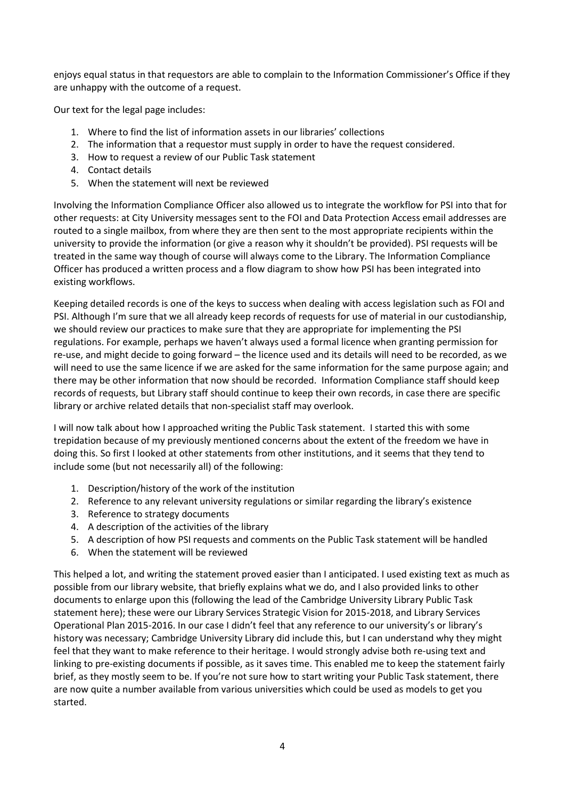enjoys equal status in that requestors are able to complain to the Information Commissioner's Office if they are unhappy with the outcome of a request.

Our text for the legal page includes:

- 1. Where to find the list of information assets in our libraries' collections
- 2. The information that a requestor must supply in order to have the request considered.
- 3. How to request a review of our Public Task statement
- 4. Contact details
- 5. When the statement will next be reviewed

Involving the Information Compliance Officer also allowed us to integrate the workflow for PSI into that for other requests: at City University messages sent to the FOI and Data Protection Access email addresses are routed to a single mailbox, from where they are then sent to the most appropriate recipients within the university to provide the information (or give a reason why it shouldn't be provided). PSI requests will be treated in the same way though of course will always come to the Library. The Information Compliance Officer has produced a written process and a flow diagram to show how PSI has been integrated into existing workflows.

Keeping detailed records is one of the keys to success when dealing with access legislation such as FOI and PSI. Although I'm sure that we all already keep records of requests for use of material in our custodianship, we should review our practices to make sure that they are appropriate for implementing the PSI regulations. For example, perhaps we haven't always used a formal licence when granting permission for re-use, and might decide to going forward – the licence used and its details will need to be recorded, as we will need to use the same licence if we are asked for the same information for the same purpose again; and there may be other information that now should be recorded. Information Compliance staff should keep records of requests, but Library staff should continue to keep their own records, in case there are specific library or archive related details that non-specialist staff may overlook.

I will now talk about how I approached writing the Public Task statement. I started this with some trepidation because of my previously mentioned concerns about the extent of the freedom we have in doing this. So first I looked at other statements from other institutions, and it seems that they tend to include some (but not necessarily all) of the following:

- 1. Description/history of the work of the institution
- 2. Reference to any relevant university regulations or similar regarding the library's existence
- 3. Reference to strategy documents
- 4. A description of the activities of the library
- 5. A description of how PSI requests and comments on the Public Task statement will be handled
- 6. When the statement will be reviewed

This helped a lot, and writing the statement proved easier than I anticipated. I used existing text as much as possible from our library website, that briefly explains what we do, and I also provided links to other documents to enlarge upon this (following the lead of the Cambridge University Library Public Task statement here); these were our Library Services Strategic Vision for 2015-2018, and Library Services Operational Plan 2015-2016. In our case I didn't feel that any reference to our university's or library's history was necessary; Cambridge University Library did include this, but I can understand why they might feel that they want to make reference to their heritage. I would strongly advise both re-using text and linking to pre-existing documents if possible, as it saves time. This enabled me to keep the statement fairly brief, as they mostly seem to be. If you're not sure how to start writing your Public Task statement, there are now quite a number available from various universities which could be used as models to get you started.